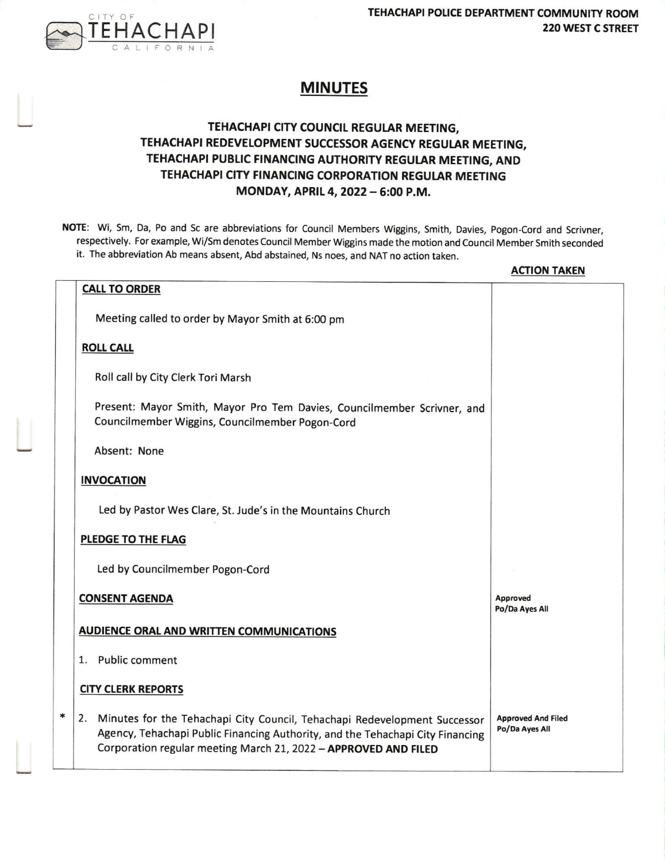## MINUTES

## TEHACHAPI POLICE DEPARTMENT COMMUNITY ROOM<br>
TEHACHAPI CALLEGEN LA<br>
TEHACHAPI CITY COUNCIL REGULAR MEETING,<br>
TEHACHAPI CITY COUNCIL REGULAR MEETING, TEHACHAPI CITY COUNCIL REGULAR MEETING, TEHACHAPI REDEVELOPMENT SUCCESSOR AGENCY REGULAR MEETING, TEHACHAPI PUBLIC FINANCING AUTHORITY REGULAR MEETING, AND TEHACHAPI CITY FINANCING CORPORATION REGULAR MEETING MONDAY, APRIL 4, 2022 - 6:00 P.M.

NOTE: Wi, Sm, Da, Po and Sc are abbreviations for Council Members Wiggins, Smith, Davies, Pogon- Cord and Scrivner, respectively. For example, Wi/Sm denotes Council Member Wiggins made the motion and Council Member Smith seconded it. The abbreviation Ab means absent, Abd abstained, Ns noes, and NAT no action taken.

## ACTION TAKEN

|   | <b>CALL TO ORDER</b>                                                                                                                                                                                                              |                                             |
|---|-----------------------------------------------------------------------------------------------------------------------------------------------------------------------------------------------------------------------------------|---------------------------------------------|
|   | Meeting called to order by Mayor Smith at 6:00 pm                                                                                                                                                                                 |                                             |
|   | <b>ROLL CALL</b>                                                                                                                                                                                                                  |                                             |
|   | Roll call by City Clerk Tori Marsh                                                                                                                                                                                                |                                             |
|   | Present: Mayor Smith, Mayor Pro Tem Davies, Councilmember Scrivner, and<br>Councilmember Wiggins, Councilmember Pogon-Cord                                                                                                        |                                             |
|   | Absent: None                                                                                                                                                                                                                      |                                             |
|   | <b>INVOCATION</b>                                                                                                                                                                                                                 |                                             |
|   | Led by Pastor Wes Clare, St. Jude's in the Mountains Church                                                                                                                                                                       |                                             |
|   | PLEDGE TO THE FLAG                                                                                                                                                                                                                |                                             |
|   | Led by Councilmember Pogon-Cord                                                                                                                                                                                                   |                                             |
|   | <b>CONSENT AGENDA</b>                                                                                                                                                                                                             | Approved<br>Po/Da Ayes All                  |
|   | <b>AUDIENCE ORAL AND WRITTEN COMMUNICATIONS</b>                                                                                                                                                                                   |                                             |
|   | 1. Public comment                                                                                                                                                                                                                 |                                             |
|   | <b>CITY CLERK REPORTS</b>                                                                                                                                                                                                         |                                             |
| * | 2. Minutes for the Tehachapi City Council, Tehachapi Redevelopment Successor<br>Agency, Tehachapi Public Financing Authority, and the Tehachapi City Financing<br>Corporation regular meeting March 21, 2022 - APPROVED AND FILED | <b>Approved And Filed</b><br>Po/Da Ayes All |
|   |                                                                                                                                                                                                                                   |                                             |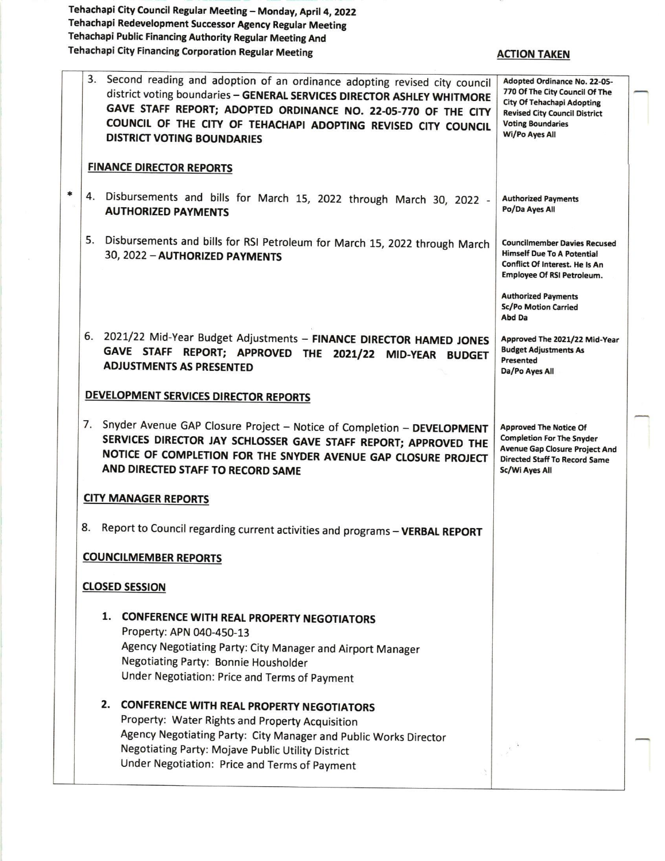Tehachapi City Council Regular Meeting— Monday, April 4, 2022 Tehachapi Redevelopment Successor Agency Regular Meeting Tehachapi Public Financing Authority Regular Meeting And Tehachapi City Financing Corporation Regular Meeting Meeting ACTION TAKEN

|        |    | 3. Second reading and adoption of an ordinance adopting revised city council<br>district voting boundaries - GENERAL SERVICES DIRECTOR ASHLEY WHITMORE<br>GAVE STAFF REPORT; ADOPTED ORDINANCE NO. 22-05-770 OF THE CITY<br>COUNCIL OF THE CITY OF TEHACHAPI ADOPTING REVISED CITY COUNCIL<br><b>DISTRICT VOTING BOUNDARIES</b> | Adopted Ordinance No. 22-05-<br>770 Of The City Council Of The<br><b>City Of Tehachapi Adopting</b><br><b>Revised City Council District</b><br><b>Voting Boundaries</b><br>Wi/Po Ayes All |  |
|--------|----|---------------------------------------------------------------------------------------------------------------------------------------------------------------------------------------------------------------------------------------------------------------------------------------------------------------------------------|-------------------------------------------------------------------------------------------------------------------------------------------------------------------------------------------|--|
|        |    | <b>FINANCE DIRECTOR REPORTS</b>                                                                                                                                                                                                                                                                                                 |                                                                                                                                                                                           |  |
| $\ast$ |    | 4. Disbursements and bills for March 15, 2022 through March 30, 2022 -<br><b>AUTHORIZED PAYMENTS</b>                                                                                                                                                                                                                            | <b>Authorized Payments</b><br>Po/Da Ayes All                                                                                                                                              |  |
|        |    | 5. Disbursements and bills for RSI Petroleum for March 15, 2022 through March<br>30, 2022 - AUTHORIZED PAYMENTS                                                                                                                                                                                                                 | <b>Councilmember Davies Recused</b><br><b>Himself Due To A Potential</b><br>Conflict Of Interest. He Is An<br><b>Employee Of RSI Petroleum.</b>                                           |  |
|        |    |                                                                                                                                                                                                                                                                                                                                 | <b>Authorized Payments</b><br><b>Sc/Po Motion Carried</b><br>Abd Da                                                                                                                       |  |
|        |    | 6. 2021/22 Mid-Year Budget Adjustments - FINANCE DIRECTOR HAMED JONES<br>GAVE STAFF REPORT; APPROVED THE 2021/22 MID-YEAR BUDGET<br><b>ADJUSTMENTS AS PRESENTED</b>                                                                                                                                                             | Approved The 2021/22 Mid-Year<br><b>Budget Adjustments As</b><br>Presented<br>Da/Po Ayes All                                                                                              |  |
|        |    | DEVELOPMENT SERVICES DIRECTOR REPORTS                                                                                                                                                                                                                                                                                           |                                                                                                                                                                                           |  |
|        |    | 7. Snyder Avenue GAP Closure Project - Notice of Completion - DEVELOPMENT<br>SERVICES DIRECTOR JAY SCHLOSSER GAVE STAFF REPORT; APPROVED THE<br>NOTICE OF COMPLETION FOR THE SNYDER AVENUE GAP CLOSURE PROJECT<br>AND DIRECTED STAFF TO RECORD SAME                                                                             | <b>Approved The Notice Of</b><br><b>Completion For The Snyder</b><br><b>Avenue Gap Closure Project And</b><br><b>Directed Staff To Record Same</b><br>Sc/Wi Ayes All                      |  |
|        |    | <b>CITY MANAGER REPORTS</b>                                                                                                                                                                                                                                                                                                     |                                                                                                                                                                                           |  |
|        | 8. | Report to Council regarding current activities and programs - VERBAL REPORT                                                                                                                                                                                                                                                     |                                                                                                                                                                                           |  |
|        |    | <b>COUNCILMEMBER REPORTS</b>                                                                                                                                                                                                                                                                                                    |                                                                                                                                                                                           |  |
|        |    | <b>CLOSED SESSION</b>                                                                                                                                                                                                                                                                                                           |                                                                                                                                                                                           |  |
|        |    | 1. CONFERENCE WITH REAL PROPERTY NEGOTIATORS<br>Property: APN 040-450-13<br>Agency Negotiating Party: City Manager and Airport Manager<br>Negotiating Party: Bonnie Housholder<br>Under Negotiation: Price and Terms of Payment                                                                                                 |                                                                                                                                                                                           |  |
|        |    | 2. CONFERENCE WITH REAL PROPERTY NEGOTIATORS<br>Property: Water Rights and Property Acquisition<br>Agency Negotiating Party: City Manager and Public Works Director<br>Negotiating Party: Mojave Public Utility District<br>Under Negotiation: Price and Terms of Payment                                                       |                                                                                                                                                                                           |  |
|        |    |                                                                                                                                                                                                                                                                                                                                 |                                                                                                                                                                                           |  |